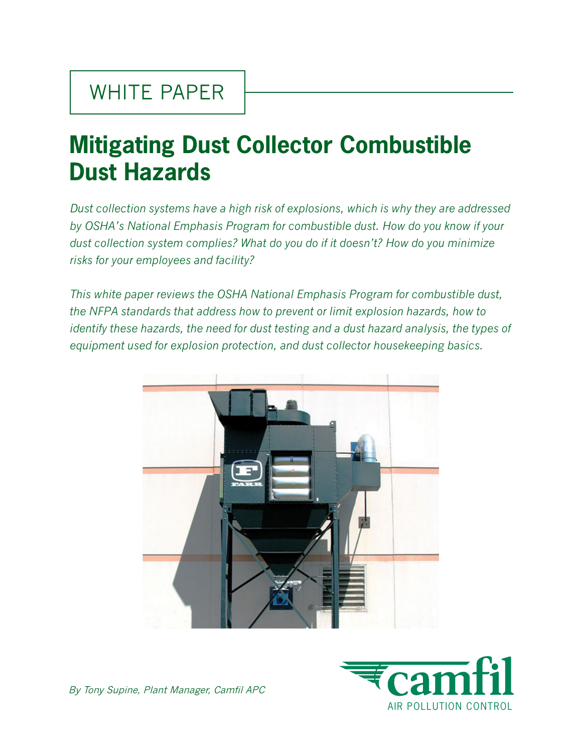# **Mitigating Dust Collector Combustible Dust Hazards**

*Dust collection systems have a high risk of explosions, which is why they are addressed by OSHA's National Emphasis Program for combustible dust. How do you know if your dust collection system complies? What do you do if it doesn't? How do you minimize risks for your employees and facility?* 

*This white paper reviews the OSHA National Emphasis Program for combustible dust, the NFPA standards that address how to prevent or limit explosion hazards, how to identify these hazards, the need for dust testing and a dust hazard analysis, the types of equipment used for explosion protection, and dust collector housekeeping basics.*





By Tony Supine, Plant Manager, Camfil APC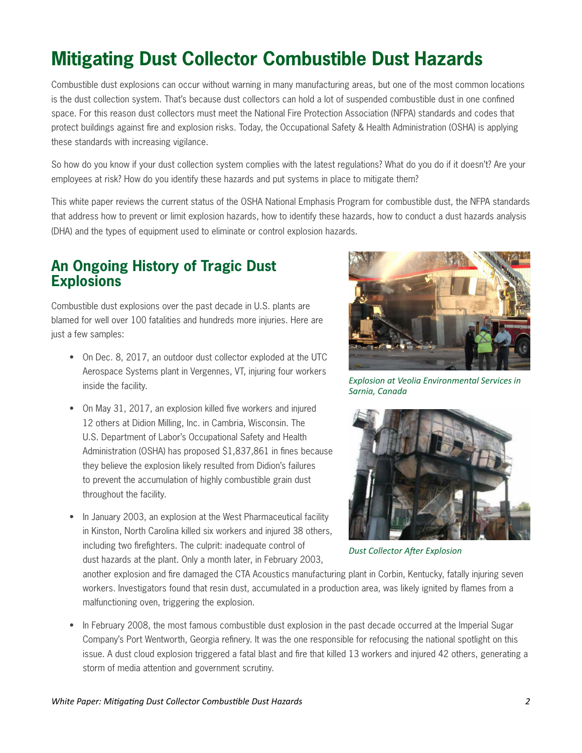# **Mitigating Dust Collector Combustible Dust Hazards**

Combustible dust explosions can occur without warning in many manufacturing areas, but one of the most common locations is the dust collection system. That's because dust collectors can hold a lot of suspended combustible dust in one confined space. For this reason dust collectors must meet the National Fire Protection Association (NFPA) standards and codes that protect buildings against fire and explosion risks. Today, the Occupational Safety & Health Administration (OSHA) is applying these standards with increasing vigilance.

So how do you know if your dust collection system complies with the latest regulations? What do you do if it doesn't? Are your employees at risk? How do you identify these hazards and put systems in place to mitigate them?

This white paper reviews the current status of the OSHA National Emphasis Program for combustible dust, the NFPA standards that address how to prevent or limit explosion hazards, how to identify these hazards, how to conduct a dust hazards analysis (DHA) and the types of equipment used to eliminate or control explosion hazards.

## **An Ongoing History of Tragic Dust Explosions**

Combustible dust explosions over the past decade in U.S. plants are blamed for well over 100 fatalities and hundreds more injuries. Here are just a few samples:

- On Dec. 8, 2017, an outdoor dust collector exploded at the UTC Aerospace Systems plant in Vergennes, VT, injuring four workers inside the facility.
- On May 31, 2017, an explosion killed five workers and injured 12 others at Didion Milling, Inc. in Cambria, Wisconsin. The U.S. Department of Labor's Occupational Safety and Health Administration (OSHA) has proposed \$1,837,861 in fines because they believe the explosion likely resulted from Didion's failures to prevent the accumulation of highly combustible grain dust throughout the facility.
- In January 2003, an explosion at the West Pharmaceutical facility in Kinston, North Carolina killed six workers and injured 38 others, including two firefighters. The culprit: inadequate control of dust hazards at the plant. Only a month later, in February 2003,



*Explosion at Veolia Environmental Services in Sarnia, Canada*



*Dust Collector After Explosion*

another explosion and fire damaged the CTA Acoustics manufacturing plant in Corbin, Kentucky, fatally injuring seven workers. Investigators found that resin dust, accumulated in a production area, was likely ignited by flames from a malfunctioning oven, triggering the explosion.

• In February 2008, the most famous combustible dust explosion in the past decade occurred at the Imperial Sugar Company's Port Wentworth, Georgia refinery. It was the one responsible for refocusing the national spotlight on this issue. A dust cloud explosion triggered a fatal blast and fire that killed 13 workers and injured 42 others, generating a storm of media attention and government scrutiny.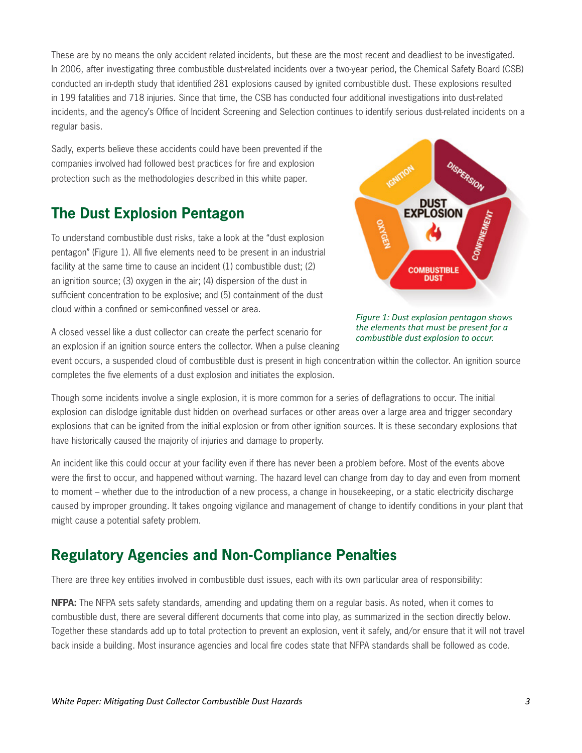These are by no means the only accident related incidents, but these are the most recent and deadliest to be investigated. In 2006, after investigating three combustible dust-related incidents over a two-year period, the Chemical Safety Board (CSB) conducted an in-depth study that identified 281 explosions caused by ignited combustible dust. These explosions resulted in 199 fatalities and 718 injuries. Since that time, the CSB has conducted four additional investigations into dust-related incidents, and the agency's Office of Incident Screening and Selection continues to identify serious dust-related incidents on a regular basis.

Sadly, experts believe these accidents could have been prevented if the companies involved had followed best practices for fire and explosion protection such as the methodologies described in this white paper.

### **The Dust Explosion Pentagon**

To understand combustible dust risks, take a look at the "dust explosion pentagon" (Figure 1). All five elements need to be present in an industrial facility at the same time to cause an incident (1) combustible dust; (2) an ignition source; (3) oxygen in the air; (4) dispersion of the dust in sufficient concentration to be explosive; and (5) containment of the dust cloud within a confined or semi-confined vessel or area.

A closed vessel like a dust collector can create the perfect scenario for

an explosion if an ignition source enters the collector. When a pulse cleaning



*Figure 1: Dust explosion pentagon shows the elements that must be present for a combustible dust explosion to occur.*

event occurs, a suspended cloud of combustible dust is present in high concentration within the collector. An ignition source completes the five elements of a dust explosion and initiates the explosion.

Though some incidents involve a single explosion, it is more common for a series of deflagrations to occur. The initial explosion can dislodge ignitable dust hidden on overhead surfaces or other areas over a large area and trigger secondary explosions that can be ignited from the initial explosion or from other ignition sources. It is these secondary explosions that have historically caused the majority of injuries and damage to property.

An incident like this could occur at your facility even if there has never been a problem before. Most of the events above were the first to occur, and happened without warning. The hazard level can change from day to day and even from moment to moment – whether due to the introduction of a new process, a change in housekeeping, or a static electricity discharge caused by improper grounding. It takes ongoing vigilance and management of change to identify conditions in your plant that might cause a potential safety problem.

# **Regulatory Agencies and Non-Compliance Penalties**

There are three key entities involved in combustible dust issues, each with its own particular area of responsibility:

**NFPA:** The NFPA sets safety standards, amending and updating them on a regular basis. As noted, when it comes to combustible dust, there are several different documents that come into play, as summarized in the section directly below. Together these standards add up to total protection to prevent an explosion, vent it safely, and/or ensure that it will not travel back inside a building. Most insurance agencies and local fire codes state that NFPA standards shall be followed as code.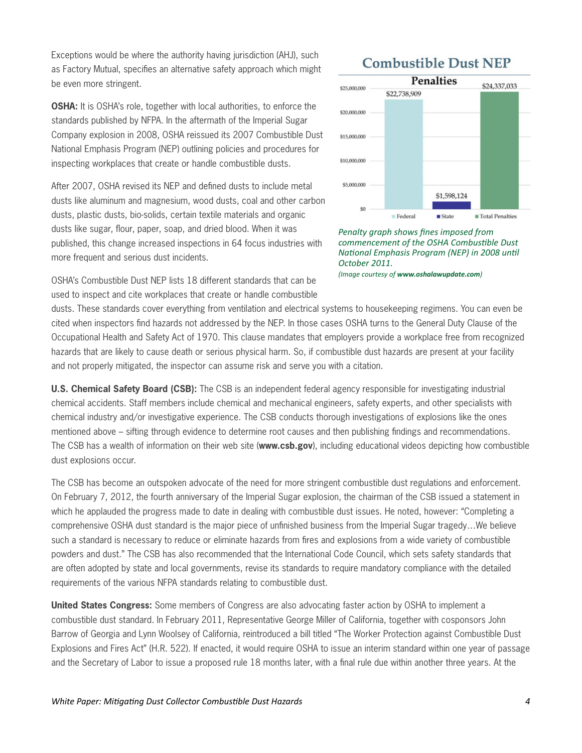Exceptions would be where the authority having jurisdiction (AHJ), such as Factory Mutual, specifies an alternative safety approach which might be even more stringent.

**OSHA:** It is OSHA's role, together with local authorities, to enforce the standards published by NFPA. In the aftermath of the Imperial Sugar Company explosion in 2008, OSHA reissued its 2007 Combustible Dust National Emphasis Program (NEP) outlining policies and procedures for inspecting workplaces that create or handle combustible dusts.

After 2007, OSHA revised its NEP and defined dusts to include metal dusts like aluminum and magnesium, wood dusts, coal and other carbon dusts, plastic dusts, bio-solids, certain textile materials and organic dusts like sugar, flour, paper, soap, and dried blood. When it was published, this change increased inspections in 64 focus industries with more frequent and serious dust incidents.

OSHA's Combustible Dust NEP lists 18 different standards that can be used to inspect and cite workplaces that create or handle combustible

### **Combustible Dust NEP**



*Penalty graph shows fines imposed from commencement of the OSHA Combustible Dust National Emphasis Program (NEP) in 2008 until October 2011. (Image courtesy of www.oshalawupdate.com)*

dusts. These standards cover everything from ventilation and electrical systems to housekeeping regimens. You can even be cited when inspectors find hazards not addressed by the NEP. In those cases OSHA turns to the General Duty Clause of the Occupational Health and Safety Act of 1970. This clause mandates that employers provide a workplace free from recognized hazards that are likely to cause death or serious physical harm. So, if combustible dust hazards are present at your facility and not properly mitigated, the inspector can assume risk and serve you with a citation.

**U.S. Chemical Safety Board (CSB):** The CSB is an independent federal agency responsible for investigating industrial chemical accidents. Staff members include chemical and mechanical engineers, safety experts, and other specialists with chemical industry and/or investigative experience. The CSB conducts thorough investigations of explosions like the ones mentioned above – sifting through evidence to determine root causes and then publishing findings and recommendations. The CSB has a wealth of information on their web site (**www.csb.gov**), including educational videos depicting how combustible dust explosions occur.

The CSB has become an outspoken advocate of the need for more stringent combustible dust regulations and enforcement. On February 7, 2012, the fourth anniversary of the Imperial Sugar explosion, the chairman of the CSB issued a statement in which he applauded the progress made to date in dealing with combustible dust issues. He noted, however: "Completing a comprehensive OSHA dust standard is the major piece of unfinished business from the Imperial Sugar tragedy…We believe such a standard is necessary to reduce or eliminate hazards from fires and explosions from a wide variety of combustible powders and dust." The CSB has also recommended that the International Code Council, which sets safety standards that are often adopted by state and local governments, revise its standards to require mandatory compliance with the detailed requirements of the various NFPA standards relating to combustible dust.

**United States Congress:** Some members of Congress are also advocating faster action by OSHA to implement a combustible dust standard. In February 2011, Representative George Miller of California, together with cosponsors John Barrow of Georgia and Lynn Woolsey of California, reintroduced a bill titled "The Worker Protection against Combustible Dust Explosions and Fires Act" (H.R. 522). If enacted, it would require OSHA to issue an interim standard within one year of passage and the Secretary of Labor to issue a proposed rule 18 months later, with a final rule due within another three years. At the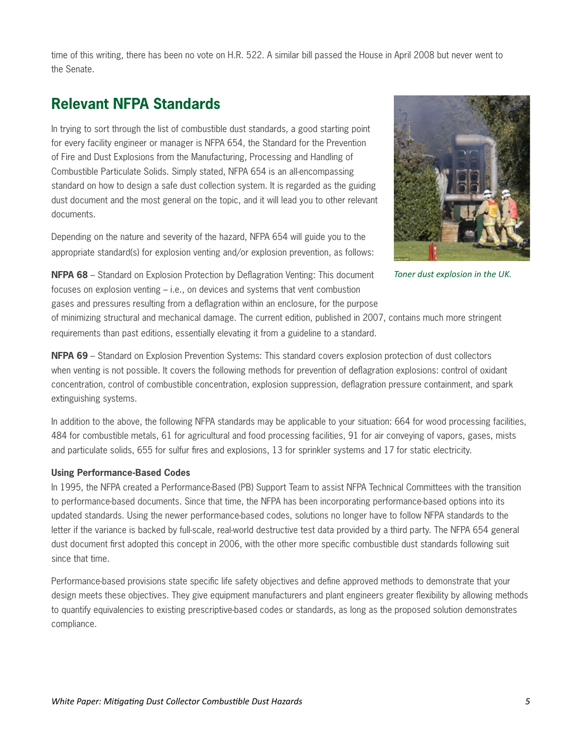time of this writing, there has been no vote on H.R. 522. A similar bill passed the House in April 2008 but never went to the Senate.

# **Relevant NFPA Standards**

In trying to sort through the list of combustible dust standards, a good starting point for every facility engineer or manager is NFPA 654, the Standard for the Prevention of Fire and Dust Explosions from the Manufacturing, Processing and Handling of Combustible Particulate Solids. Simply stated, NFPA 654 is an all-encompassing standard on how to design a safe dust collection system. It is regarded as the guiding dust document and the most general on the topic, and it will lead you to other relevant documents.

Depending on the nature and severity of the hazard, NFPA 654 will guide you to the appropriate standard(s) for explosion venting and/or explosion prevention, as follows:



*Toner dust explosion in the UK.*

**NFPA 68** – Standard on Explosion Protection by Deflagration Venting: This document focuses on explosion venting – i.e., on devices and systems that vent combustion gases and pressures resulting from a deflagration within an enclosure, for the purpose

of minimizing structural and mechanical damage. The current edition, published in 2007, contains much more stringent requirements than past editions, essentially elevating it from a guideline to a standard.

**NFPA 69** – Standard on Explosion Prevention Systems: This standard covers explosion protection of dust collectors when venting is not possible. It covers the following methods for prevention of deflagration explosions: control of oxidant concentration, control of combustible concentration, explosion suppression, deflagration pressure containment, and spark extinguishing systems.

In addition to the above, the following NFPA standards may be applicable to your situation: 664 for wood processing facilities, 484 for combustible metals, 61 for agricultural and food processing facilities, 91 for air conveying of vapors, gases, mists and particulate solids, 655 for sulfur fires and explosions, 13 for sprinkler systems and 17 for static electricity.

#### **Using Performance-Based Codes**

In 1995, the NFPA created a Performance-Based (PB) Support Team to assist NFPA Technical Committees with the transition to performance-based documents. Since that time, the NFPA has been incorporating performance-based options into its updated standards. Using the newer performance-based codes, solutions no longer have to follow NFPA standards to the letter if the variance is backed by full-scale, real-world destructive test data provided by a third party. The NFPA 654 general dust document first adopted this concept in 2006, with the other more specific combustible dust standards following suit since that time.

Performance-based provisions state specific life safety objectives and define approved methods to demonstrate that your design meets these objectives. They give equipment manufacturers and plant engineers greater flexibility by allowing methods to quantify equivalencies to existing prescriptive-based codes or standards, as long as the proposed solution demonstrates compliance.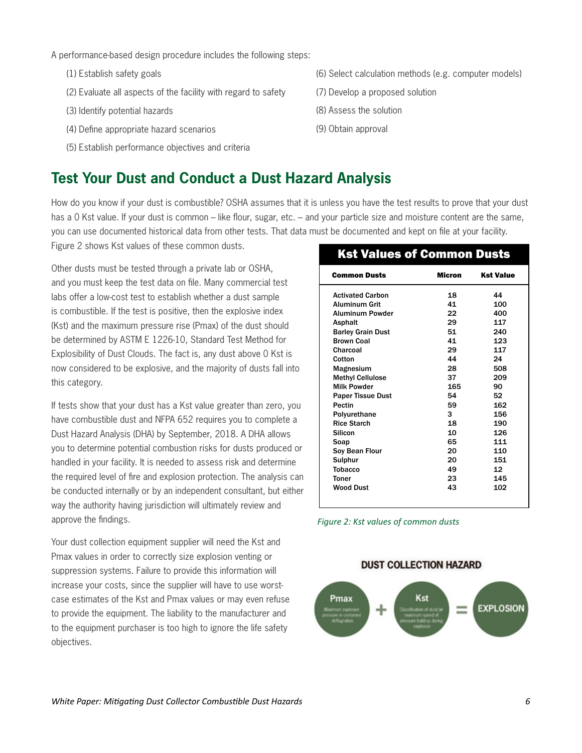#### A performance-based design procedure includes the following steps:

- (1) Establish safety goals
- (2) Evaluate all aspects of the facility with regard to safety
- (3) Identify potential hazards
- (4) Define appropriate hazard scenarios
- (5) Establish performance objectives and criteria

## **Test Your Dust and Conduct a Dust Hazard Analysis**

How do you know if your dust is combustible? OSHA assumes that it is unless you have the test results to prove that your dust has a 0 Kst value. If your dust is common – like flour, sugar, etc. – and your particle size and moisture content are the same, you can use documented historical data from other tests. That data must be documented and kept on file at your facility.

Figure 2 shows Kst values of these common dusts.

Other dusts must be tested through a private lab or OSHA, and you must keep the test data on file. Many commercial test labs offer a low-cost test to establish whether a dust sample is combustible. If the test is positive, then the explosive index (Kst) and the maximum pressure rise (Pmax) of the dust should be determined by ASTM E 1226-10, Standard Test Method for Explosibility of Dust Clouds. The fact is, any dust above 0 Kst is now considered to be explosive, and the majority of dusts fall into this category.

If tests show that your dust has a Kst value greater than zero, you have combustible dust and NFPA 652 requires you to complete a Dust Hazard Analysis (DHA) by September, 2018. A DHA allows you to determine potential combustion risks for dusts produced or handled in your facility. It is needed to assess risk and determine the required level of fire and explosion protection. The analysis can be conducted internally or by an independent consultant, but either way the authority having jurisdiction will ultimately review and approve the findings.

Your dust collection equipment supplier will need the Kst and Pmax values in order to correctly size explosion venting or suppression systems. Failure to provide this information will increase your costs, since the supplier will have to use worstcase estimates of the Kst and Pmax values or may even refuse to provide the equipment. The liability to the manufacturer and to the equipment purchaser is too high to ignore the life safety objectives.

- (7) Develop a proposed solution
- (8) Assess the solution
- (9) Obtain approval

### Kst Values of Common Dusts

| <b>Common Dusts</b>      | Micron | <b>Kst Value</b> |
|--------------------------|--------|------------------|
| <b>Activated Carbon</b>  | 18     | 44               |
| <b>Aluminum Grit</b>     | 41     | 100              |
| Aluminum Powder          | 22     | 400              |
| <b>Asphalt</b>           | 29     | 117              |
| <b>Barley Grain Dust</b> | 51     | 240              |
| <b>Brown Coal</b>        | 41     | 123              |
| Charcoal                 | 29     | 117              |
| Cotton                   | 44     | 24               |
| Magnesium                | 28     | 508              |
| <b>Methyl Cellulose</b>  | 37     | 209              |
| <b>Milk Powder</b>       | 165    | 90               |
| <b>Paper Tissue Dust</b> | 54     | 52               |
| Pectin                   | 59     | 162              |
| Polyurethane             | 3      | 156              |
| <b>Rice Starch</b>       | 18     | 190              |
| Silicon                  | 10     | 126              |
| Soap                     | 65     | 111              |
| Soy Bean Flour           | 20     | 110              |
| Sulphur                  | 20     | 151              |
| <b>Tobacco</b>           | 49     | 12               |
| <b>Toner</b>             | 23     | 145              |
| <b>Wood Dust</b>         | 43     | 102              |

*Figure 2: Kst values of common dusts*

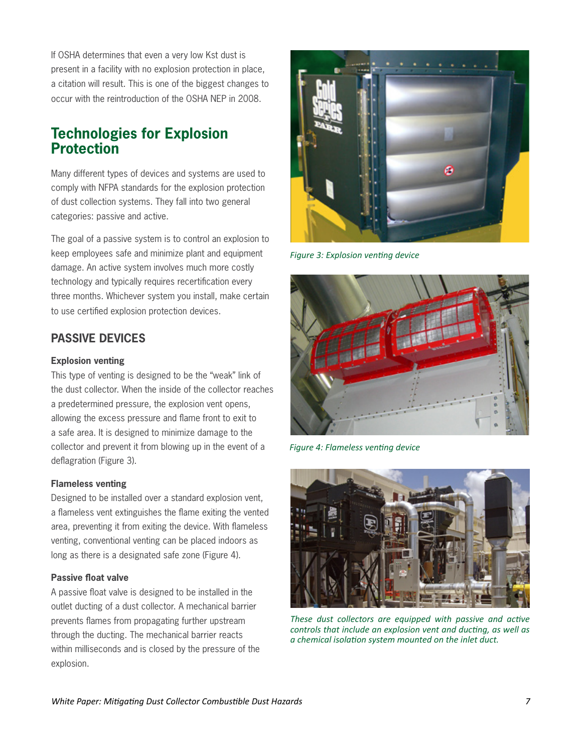If OSHA determines that even a very low Kst dust is present in a facility with no explosion protection in place, a citation will result. This is one of the biggest changes to occur with the reintroduction of the OSHA NEP in 2008.

### **Technologies for Explosion Protection**

Many different types of devices and systems are used to comply with NFPA standards for the explosion protection of dust collection systems. They fall into two general categories: passive and active.

The goal of a passive system is to control an explosion to keep employees safe and minimize plant and equipment damage. An active system involves much more costly technology and typically requires recertification every three months. Whichever system you install, make certain to use certified explosion protection devices.

### **PASSIVE DEVICES**

#### **Explosion venting**

This type of venting is designed to be the "weak" link of the dust collector. When the inside of the collector reaches a predetermined pressure, the explosion vent opens, allowing the excess pressure and flame front to exit to a safe area. It is designed to minimize damage to the collector and prevent it from blowing up in the event of a deflagration (Figure 3).

#### **Flameless venting**

Designed to be installed over a standard explosion vent, a flameless vent extinguishes the flame exiting the vented area, preventing it from exiting the device. With flameless venting, conventional venting can be placed indoors as long as there is a designated safe zone (Figure 4).

#### **Passive float valve**

A passive float valve is designed to be installed in the outlet ducting of a dust collector. A mechanical barrier prevents flames from propagating further upstream through the ducting. The mechanical barrier reacts within milliseconds and is closed by the pressure of the explosion.



*Figure 3: Explosion venting device* 



*Figure 4: Flameless venting device*



*These dust collectors are equipped with passive and active controls that include an explosion vent and ducting, as well as a chemical isolation system mounted on the inlet duct.*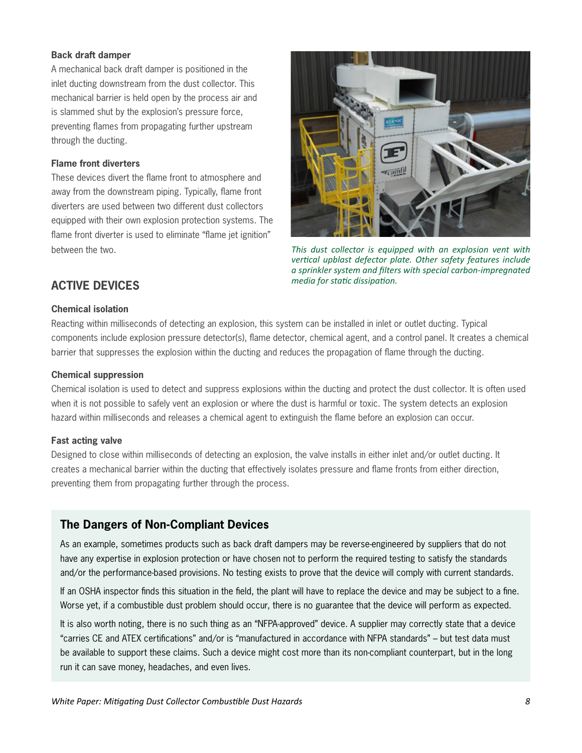#### **Back draft damper**

A mechanical back draft damper is positioned in the inlet ducting downstream from the dust collector. This mechanical barrier is held open by the process air and is slammed shut by the explosion's pressure force, preventing flames from propagating further upstream through the ducting.

#### **Flame front diverters**

These devices divert the flame front to atmosphere and away from the downstream piping. Typically, flame front diverters are used between two different dust collectors equipped with their own explosion protection systems. The flame front diverter is used to eliminate "flame jet ignition" between the two.



*This dust collector is equipped with an explosion vent with vertical upblast defector plate. Other safety features include a sprinkler system and filters with special carbon-impregnated media for static dissipation.*

### **ACTIVE DEVICES**

#### **Chemical isolation**

Reacting within milliseconds of detecting an explosion, this system can be installed in inlet or outlet ducting. Typical components include explosion pressure detector(s), flame detector, chemical agent, and a control panel. It creates a chemical barrier that suppresses the explosion within the ducting and reduces the propagation of flame through the ducting.

#### **Chemical suppression**

Chemical isolation is used to detect and suppress explosions within the ducting and protect the dust collector. It is often used when it is not possible to safely vent an explosion or where the dust is harmful or toxic. The system detects an explosion hazard within milliseconds and releases a chemical agent to extinguish the flame before an explosion can occur.

#### **Fast acting valve**

Designed to close within milliseconds of detecting an explosion, the valve installs in either inlet and/or outlet ducting. It creates a mechanical barrier within the ducting that effectively isolates pressure and flame fronts from either direction, preventing them from propagating further through the process.

### **The Dangers of Non-Compliant Devices**

As an example, sometimes products such as back draft dampers may be reverse-engineered by suppliers that do not have any expertise in explosion protection or have chosen not to perform the required testing to satisfy the standards and/or the performance-based provisions. No testing exists to prove that the device will comply with current standards.

If an OSHA inspector finds this situation in the field, the plant will have to replace the device and may be subject to a fine. Worse yet, if a combustible dust problem should occur, there is no guarantee that the device will perform as expected.

It is also worth noting, there is no such thing as an "NFPA-approved" device. A supplier may correctly state that a device "carries CE and ATEX certifications" and/or is "manufactured in accordance with NFPA standards" – but test data must be available to support these claims. Such a device might cost more than its non-compliant counterpart, but in the long run it can save money, headaches, and even lives.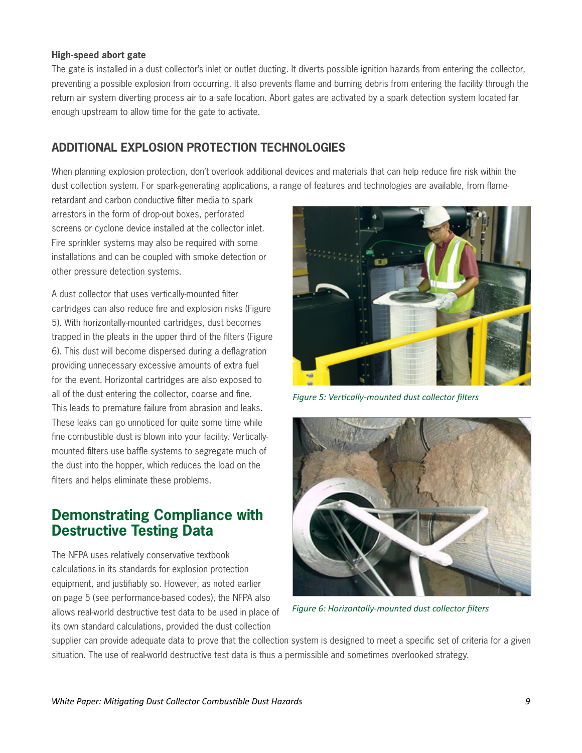#### **High-speed abort gate**

The gate is installed in a dust collector's inlet or outlet ducting. It diverts possible ignition hazards from entering the collector, preventing a possible explosion from occurring. It also prevents flame and burning debris from entering the facility through the return air system diverting process air to a safe location. Abort gates are activated by a spark detection system located far enough upstream to allow time for the gate to activate.

### **ADDITIONAL EXPLOSION PROTECTION TECHNOLOGIES**

When planning explosion protection, don't overlook additional devices and materials that can help reduce fire risk within the dust collection system. For spark-generating applications, a range of features and technologies are available, from flame-

retardant and carbon conductive filter media to spark arrestors in the form of drop-out boxes, perforated screens or cyclone device installed at the collector inlet. Fire sprinkler systems may also be required with some installations and can be coupled with smoke detection or other pressure detection systems.

A dust collector that uses vertically-mounted filter cartridges can also reduce fire and explosion risks (Figure 5). With horizontally-mounted cartridges, dust becomes trapped in the pleats in the upper third of the filters (Figure 6). This dust will become dispersed during a deflagration providing unnecessary excessive amounts of extra fuel for the event. Horizontal cartridges are also exposed to all of the dust entering the collector, coarse and fine. This leads to premature failure from abrasion and leaks. These leaks can go unnoticed for quite some time while fine combustible dust is blown into your facility. Verticallymounted filters use baffle systems to segregate much of the dust into the hopper, which reduces the load on the filters and helps eliminate these problems.

### **Demonstrating Compliance with Destructive Testing Data**

The NFPA uses relatively conservative textbook calculations in its standards for explosion protection equipment, and justifiably so. However, as noted earlier on page 5 (see performance-based codes), the NFPA also allows real-world destructive test data to be used in place of its own standard calculations, provided the dust collection



*Figure 5: Vertically-mounted dust collector filters*



*Figure 6: Horizontally-mounted dust collector filters*

supplier can provide adequate data to prove that the collection system is designed to meet a specific set of criteria for a given situation. The use of real-world destructive test data is thus a permissible and sometimes overlooked strategy.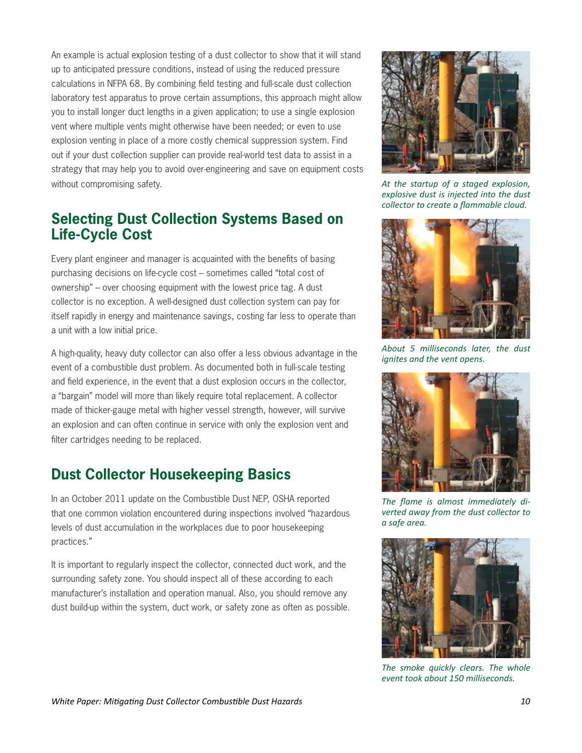An example is actual explosion testing of a dust collector to show that it will stand up to anticipated pressure conditions, instead of using the reduced pressure calculations in NFPA 68. By combining field testing and full-scale dust collection laboratory test apparatus to prove certain assumptions, this approach might allow you to install longer duct lengths in a given application; to use a single explosion vent where multiple vents might otherwise have been needed; or even to use explosion venting in place of a more costly chemical suppression system. Find out if your dust collection supplier can provide real-world test data to assist in a strategy that may help you to avoid over-engineering and save on equipment costs without compromising safety.

### **Selecting Dust Collection Systems Based on Life-Cycle Cost**

Every plant engineer and manager is acquainted with the benefits of basing purchasing decisions on life-cycle cost – sometimes called "total cost of ownership" – over choosing equipment with the lowest price tag. A dust collector is no exception. A well-designed dust collection system can pay for itself rapidly in energy and maintenance savings, costing far less to operate than a unit with a low initial price.

A high-quality, heavy duty collector can also offer a less obvious advantage in the event of a combustible dust problem. As documented both in full-scale testing and field experience, in the event that a dust explosion occurs in the collector, a "bargain" model will more than likely require total replacement. A collector made of thicker-gauge metal with higher vessel strength, however, will survive an explosion and can often continue in service with only the explosion vent and filter cartridges needing to be replaced.

# **Dust Collector Housekeeping Basics**

In an October 2011 update on the Combustible Dust NEP, OSHA reported that one common violation encountered during inspections involved "hazardous levels of dust accumulation in the workplaces due to poor housekeeping practices."

It is important to regularly inspect the collector, connected duct work, and the surrounding safety zone. You should inspect all of these according to each manufacturer's installation and operation manual. Also, you should remove any dust build-up within the system, duct work, or safety zone as often as possible.



*At the startup of a staged explosion, explosive dust is injected into the dust collector to create a flammable cloud.*



*About 5 milliseconds later, the dust ignites and the vent opens.*



*The flame is almost immediately diverted away from the dust collector to a safe area.*



*The smoke quickly clears. The whole event took about 150 milliseconds.*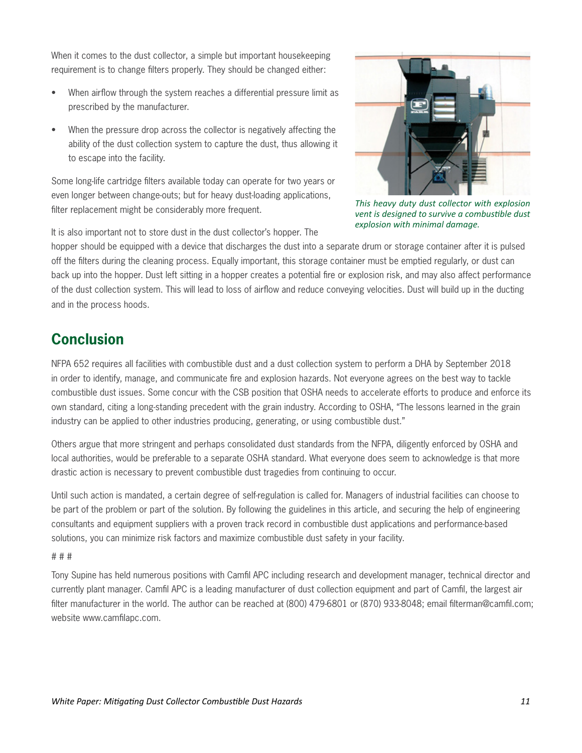When it comes to the dust collector, a simple but important housekeeping requirement is to change filters properly. They should be changed either:

- When airflow through the system reaches a differential pressure limit as prescribed by the manufacturer.
- When the pressure drop across the collector is negatively affecting the ability of the dust collection system to capture the dust, thus allowing it to escape into the facility.

Some long-life cartridge filters available today can operate for two years or even longer between change-outs; but for heavy dust-loading applications, filter replacement might be considerably more frequent.



*This heavy duty dust collector with explosion vent is designed to survive a combustible dust explosion with minimal damage.*

It is also important not to store dust in the dust collector's hopper. The

hopper should be equipped with a device that discharges the dust into a separate drum or storage container after it is pulsed off the filters during the cleaning process. Equally important, this storage container must be emptied regularly, or dust can back up into the hopper. Dust left sitting in a hopper creates a potential fire or explosion risk, and may also affect performance of the dust collection system. This will lead to loss of airflow and reduce conveying velocities. Dust will build up in the ducting and in the process hoods.

# **Conclusion**

NFPA 652 requires all facilities with combustible dust and a dust collection system to perform a DHA by September 2018 in order to identify, manage, and communicate fire and explosion hazards. Not everyone agrees on the best way to tackle combustible dust issues. Some concur with the CSB position that OSHA needs to accelerate efforts to produce and enforce its own standard, citing a long-standing precedent with the grain industry. According to OSHA, "The lessons learned in the grain industry can be applied to other industries producing, generating, or using combustible dust."

Others argue that more stringent and perhaps consolidated dust standards from the NFPA, diligently enforced by OSHA and local authorities, would be preferable to a separate OSHA standard. What everyone does seem to acknowledge is that more drastic action is necessary to prevent combustible dust tragedies from continuing to occur.

Until such action is mandated, a certain degree of self-regulation is called for. Managers of industrial facilities can choose to be part of the problem or part of the solution. By following the guidelines in this article, and securing the help of engineering consultants and equipment suppliers with a proven track record in combustible dust applications and performance-based solutions, you can minimize risk factors and maximize combustible dust safety in your facility.

#### # # #

Tony Supine has held numerous positions with Camfil APC including research and development manager, technical director and currently plant manager. Camfil APC is a leading manufacturer of dust collection equipment and part of Camfil, the largest air filter manufacturer in the world. The author can be reached at (800) 479-6801 or (870) 933-8048; email filterman@camfil.com; website www.camfilapc.com.